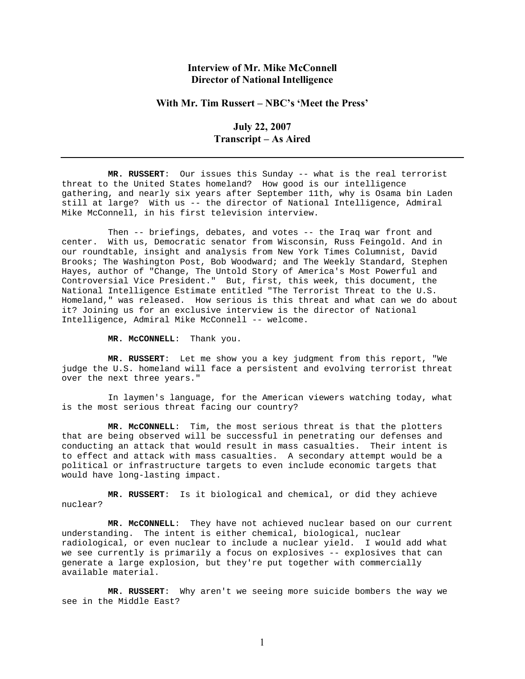## **Interview of Mr. Mike McConnell Director of National Intelligence**

## With Mr. Tim Russert – NBC's 'Meet the Press'

## **July 22, 2007 Transcript – As Aired**

 **MR. RUSSERT**: Our issues this Sunday -- what is the real terrorist threat to the United States homeland? How good is our intelligence gathering, and nearly six years after September 11th, why is Osama bin Laden still at large? With us -- the director of National Intelligence, Admiral Mike McConnell, in his first television interview.

 Then -- briefings, debates, and votes -- the Iraq war front and center. With us, Democratic senator from Wisconsin, Russ Feingold. And in our roundtable, insight and analysis from New York Times Columnist, David Brooks; The Washington Post, Bob Woodward; and The Weekly Standard, Stephen Hayes, author of "Change, The Untold Story of America's Most Powerful and Controversial Vice President." But, first, this week, this document, the National Intelligence Estimate entitled "The Terrorist Threat to the U.S. Homeland," was released. How serious is this threat and what can we do about it? Joining us for an exclusive interview is the director of National Intelligence, Admiral Mike McConnell -- welcome.

**MR. McCONNELL**: Thank you.

 **MR. RUSSERT**: Let me show you a key judgment from this report, "We judge the U.S. homeland will face a persistent and evolving terrorist threat over the next three years."

 In laymen's language, for the American viewers watching today, what is the most serious threat facing our country?

 **MR. McCONNELL**: Tim, the most serious threat is that the plotters that are being observed will be successful in penetrating our defenses and conducting an attack that would result in mass casualties. Their intent is to effect and attack with mass casualties. A secondary attempt would be a political or infrastructure targets to even include economic targets that would have long-lasting impact.

 **MR. RUSSERT**: Is it biological and chemical, or did they achieve nuclear?

 **MR. McCONNELL**: They have not achieved nuclear based on our current understanding. The intent is either chemical, biological, nuclear radiological, or even nuclear to include a nuclear yield. I would add what we see currently is primarily a focus on explosives -- explosives that can generate a large explosion, but they're put together with commercially available material.

 **MR. RUSSERT**: Why aren't we seeing more suicide bombers the way we see in the Middle East?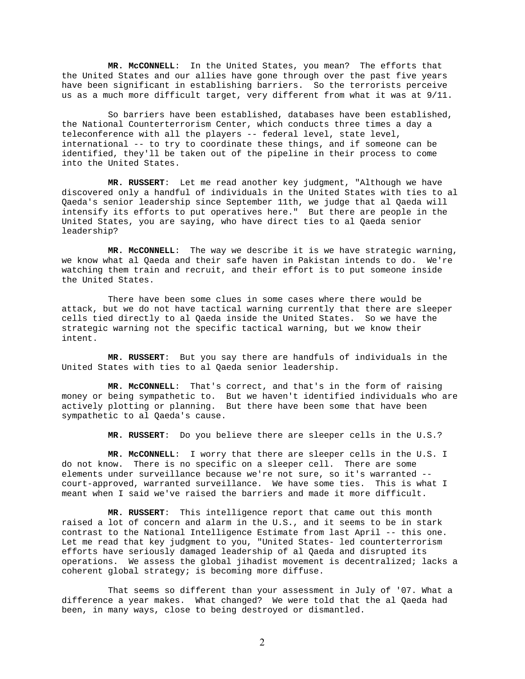**MR. McCONNELL**: In the United States, you mean? The efforts that the United States and our allies have gone through over the past five years have been significant in establishing barriers. So the terrorists perceive us as a much more difficult target, very different from what it was at 9/11.

 So barriers have been established, databases have been established, the National Counterterrorism Center, which conducts three times a day a teleconference with all the players -- federal level, state level, international -- to try to coordinate these things, and if someone can be identified, they'll be taken out of the pipeline in their process to come into the United States.

 **MR. RUSSERT**: Let me read another key judgment, "Although we have discovered only a handful of individuals in the United States with ties to al Qaeda's senior leadership since September 11th, we judge that al Qaeda will intensify its efforts to put operatives here." But there are people in the United States, you are saying, who have direct ties to al Qaeda senior leadership?

 **MR. McCONNELL**: The way we describe it is we have strategic warning, we know what al Qaeda and their safe haven in Pakistan intends to do. We're watching them train and recruit, and their effort is to put someone inside the United States.

 There have been some clues in some cases where there would be attack, but we do not have tactical warning currently that there are sleeper cells tied directly to al Qaeda inside the United States. So we have the strategic warning not the specific tactical warning, but we know their intent.

 **MR. RUSSERT**: But you say there are handfuls of individuals in the United States with ties to al Qaeda senior leadership.

 **MR. McCONNELL**: That's correct, and that's in the form of raising money or being sympathetic to. But we haven't identified individuals who are actively plotting or planning. But there have been some that have been sympathetic to al Qaeda's cause.

**MR. RUSSERT**: Do you believe there are sleeper cells in the U.S.?

 **MR. McCONNELL**: I worry that there are sleeper cells in the U.S. I do not know. There is no specific on a sleeper cell. There are some elements under surveillance because we're not sure, so it's warranted - court-approved, warranted surveillance. We have some ties. This is what I meant when I said we've raised the barriers and made it more difficult.

 **MR. RUSSERT**: This intelligence report that came out this month raised a lot of concern and alarm in the U.S., and it seems to be in stark contrast to the National Intelligence Estimate from last April -- this one. Let me read that key judgment to you, "United States- led counterterrorism efforts have seriously damaged leadership of al Qaeda and disrupted its operations. We assess the global jihadist movement is decentralized; lacks a coherent global strategy; is becoming more diffuse.

 That seems so different than your assessment in July of '07. What a difference a year makes. What changed? We were told that the al Qaeda had been, in many ways, close to being destroyed or dismantled.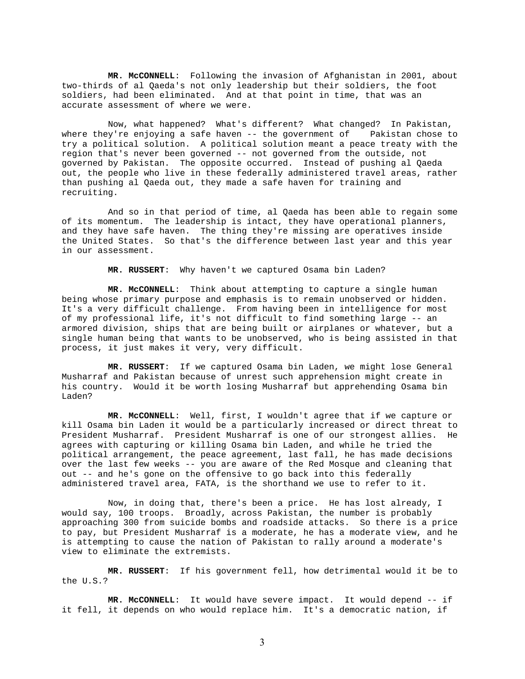**MR. McCONNELL**: Following the invasion of Afghanistan in 2001, about two-thirds of al Qaeda's not only leadership but their soldiers, the foot soldiers, had been eliminated. And at that point in time, that was an accurate assessment of where we were.

 Now, what happened? What's different? What changed? In Pakistan, where they're enjoying a safe haven -- the government of Pakistan chose to try a political solution. A political solution meant a peace treaty with the region that's never been governed -- not governed from the outside, not governed by Pakistan. The opposite occurred. Instead of pushing al Qaeda out, the people who live in these federally administered travel areas, rather than pushing al Qaeda out, they made a safe haven for training and recruiting.

 And so in that period of time, al Qaeda has been able to regain some of its momentum. The leadership is intact, they have operational planners, and they have safe haven. The thing they're missing are operatives inside the United States. So that's the difference between last year and this year in our assessment.

**MR. RUSSERT**: Why haven't we captured Osama bin Laden?

 **MR. McCONNELL**: Think about attempting to capture a single human being whose primary purpose and emphasis is to remain unobserved or hidden. It's a very difficult challenge. From having been in intelligence for most of my professional life, it's not difficult to find something large -- an armored division, ships that are being built or airplanes or whatever, but a single human being that wants to be unobserved, who is being assisted in that process, it just makes it very, very difficult.

 **MR. RUSSERT**: If we captured Osama bin Laden, we might lose General Musharraf and Pakistan because of unrest such apprehension might create in his country. Would it be worth losing Musharraf but apprehending Osama bin Laden?

 **MR. McCONNELL**: Well, first, I wouldn't agree that if we capture or kill Osama bin Laden it would be a particularly increased or direct threat to President Musharraf. President Musharraf is one of our strongest allies. He agrees with capturing or killing Osama bin Laden, and while he tried the political arrangement, the peace agreement, last fall, he has made decisions over the last few weeks -- you are aware of the Red Mosque and cleaning that out -- and he's gone on the offensive to go back into this federally administered travel area, FATA, is the shorthand we use to refer to it.

 Now, in doing that, there's been a price. He has lost already, I would say, 100 troops. Broadly, across Pakistan, the number is probably approaching 300 from suicide bombs and roadside attacks. So there is a price to pay, but President Musharraf is a moderate, he has a moderate view, and he is attempting to cause the nation of Pakistan to rally around a moderate's view to eliminate the extremists.

 **MR. RUSSERT**: If his government fell, how detrimental would it be to the U.S.?

 **MR. McCONNELL**: It would have severe impact. It would depend -- if it fell, it depends on who would replace him. It's a democratic nation, if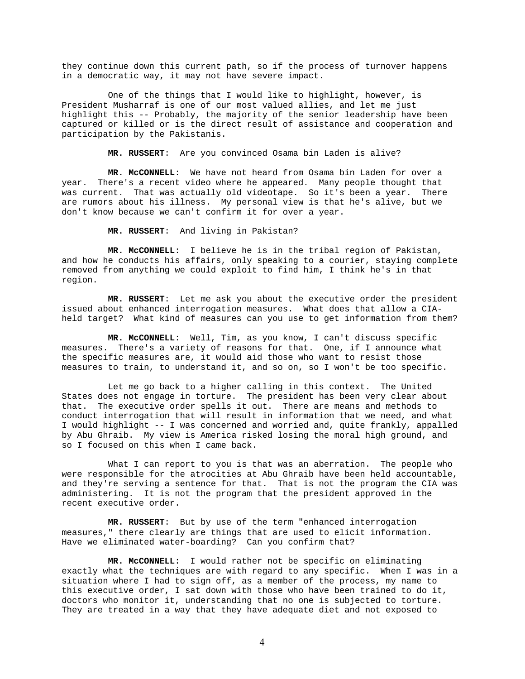they continue down this current path, so if the process of turnover happens in a democratic way, it may not have severe impact.

 One of the things that I would like to highlight, however, is President Musharraf is one of our most valued allies, and let me just highlight this -- Probably, the majority of the senior leadership have been captured or killed or is the direct result of assistance and cooperation and participation by the Pakistanis.

**MR. RUSSERT**: Are you convinced Osama bin Laden is alive?

 **MR. McCONNELL**: We have not heard from Osama bin Laden for over a year. There's a recent video where he appeared. Many people thought that was current. That was actually old videotape. So it's been a year. There are rumors about his illness. My personal view is that he's alive, but we don't know because we can't confirm it for over a year.

**MR. RUSSERT**: And living in Pakistan?

 **MR. McCONNELL**: I believe he is in the tribal region of Pakistan, and how he conducts his affairs, only speaking to a courier, staying complete removed from anything we could exploit to find him, I think he's in that region.

 **MR. RUSSERT**: Let me ask you about the executive order the president issued about enhanced interrogation measures. What does that allow a CIAheld target? What kind of measures can you use to get information from them?

 **MR. McCONNELL**: Well, Tim, as you know, I can't discuss specific measures. There's a variety of reasons for that. One, if I announce what the specific measures are, it would aid those who want to resist those measures to train, to understand it, and so on, so I won't be too specific.

 Let me go back to a higher calling in this context. The United States does not engage in torture. The president has been very clear about that. The executive order spells it out. There are means and methods to conduct interrogation that will result in information that we need, and what I would highlight -- I was concerned and worried and, quite frankly, appalled by Abu Ghraib. My view is America risked losing the moral high ground, and so I focused on this when I came back.

What I can report to you is that was an aberration. The people who were responsible for the atrocities at Abu Ghraib have been held accountable, and they're serving a sentence for that. That is not the program the CIA was administering. It is not the program that the president approved in the recent executive order.

 **MR. RUSSERT**: But by use of the term "enhanced interrogation measures," there clearly are things that are used to elicit information. Have we eliminated water-boarding? Can you confirm that?

 **MR. McCONNELL**: I would rather not be specific on eliminating exactly what the techniques are with regard to any specific. When I was in a situation where I had to sign off, as a member of the process, my name to this executive order, I sat down with those who have been trained to do it, doctors who monitor it, understanding that no one is subjected to torture. They are treated in a way that they have adequate diet and not exposed to

4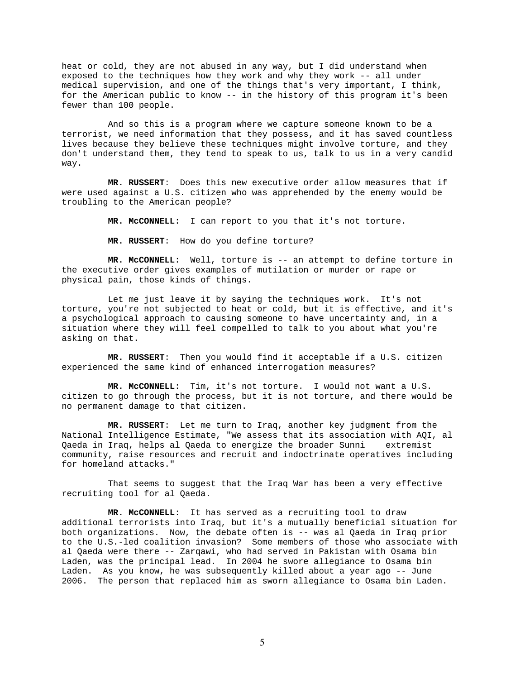heat or cold, they are not abused in any way, but I did understand when exposed to the techniques how they work and why they work -- all under medical supervision, and one of the things that's very important, I think, for the American public to know -- in the history of this program it's been fewer than 100 people.

 And so this is a program where we capture someone known to be a terrorist, we need information that they possess, and it has saved countless lives because they believe these techniques might involve torture, and they don't understand them, they tend to speak to us, talk to us in a very candid way.

 **MR. RUSSERT**: Does this new executive order allow measures that if were used against a U.S. citizen who was apprehended by the enemy would be troubling to the American people?

**MR. McCONNELL**: I can report to you that it's not torture.

**MR. RUSSERT**: How do you define torture?

 **MR. McCONNELL**: Well, torture is -- an attempt to define torture in the executive order gives examples of mutilation or murder or rape or physical pain, those kinds of things.

 Let me just leave it by saying the techniques work. It's not torture, you're not subjected to heat or cold, but it is effective, and it's a psychological approach to causing someone to have uncertainty and, in a situation where they will feel compelled to talk to you about what you're asking on that.

 **MR. RUSSERT**: Then you would find it acceptable if a U.S. citizen experienced the same kind of enhanced interrogation measures?

 **MR. McCONNELL**: Tim, it's not torture. I would not want a U.S. citizen to go through the process, but it is not torture, and there would be no permanent damage to that citizen.

 **MR. RUSSERT**: Let me turn to Iraq, another key judgment from the National Intelligence Estimate, "We assess that its association with AQI, al<br>Qaeda in Iraq, helps al Qaeda to energize the broader Sunni extremist Qaeda in Iraq, helps al Qaeda to energize the broader Sunni community, raise resources and recruit and indoctrinate operatives including for homeland attacks."

 That seems to suggest that the Iraq War has been a very effective recruiting tool for al Qaeda.

 **MR. McCONNELL**: It has served as a recruiting tool to draw additional terrorists into Iraq, but it's a mutually beneficial situation for both organizations. Now, the debate often is -- was al Qaeda in Iraq prior to the U.S.-led coalition invasion? Some members of those who associate with al Qaeda were there -- Zarqawi, who had served in Pakistan with Osama bin Laden, was the principal lead. In 2004 he swore allegiance to Osama bin Laden. As you know, he was subsequently killed about a year ago -- June 2006. The person that replaced him as sworn allegiance to Osama bin Laden.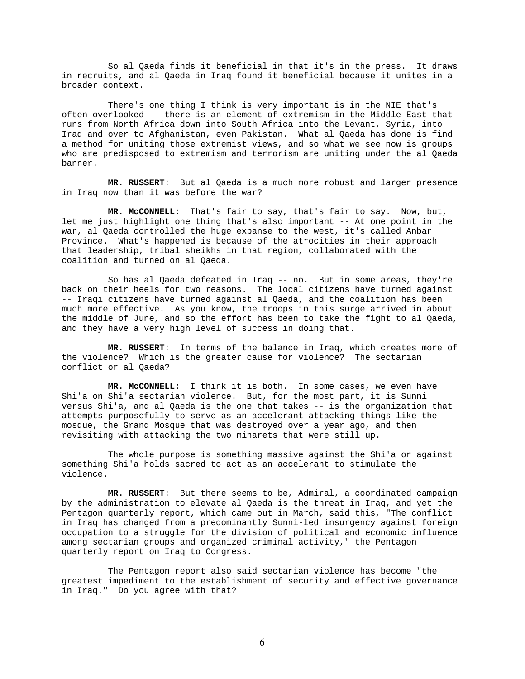So al Qaeda finds it beneficial in that it's in the press. It draws in recruits, and al Qaeda in Iraq found it beneficial because it unites in a broader context.

 There's one thing I think is very important is in the NIE that's often overlooked -- there is an element of extremism in the Middle East that runs from North Africa down into South Africa into the Levant, Syria, into Iraq and over to Afghanistan, even Pakistan. What al Qaeda has done is find a method for uniting those extremist views, and so what we see now is groups who are predisposed to extremism and terrorism are uniting under the al Qaeda banner.

 **MR. RUSSERT**: But al Qaeda is a much more robust and larger presence in Iraq now than it was before the war?

 **MR. McCONNELL**: That's fair to say, that's fair to say. Now, but, let me just highlight one thing that's also important -- At one point in the war, al Qaeda controlled the huge expanse to the west, it's called Anbar Province. What's happened is because of the atrocities in their approach that leadership, tribal sheikhs in that region, collaborated with the coalition and turned on al Qaeda.

 So has al Qaeda defeated in Iraq -- no. But in some areas, they're back on their heels for two reasons. The local citizens have turned against -- Iraqi citizens have turned against al Qaeda, and the coalition has been much more effective. As you know, the troops in this surge arrived in about the middle of June, and so the effort has been to take the fight to al Qaeda, and they have a very high level of success in doing that.

 **MR. RUSSERT**: In terms of the balance in Iraq, which creates more of the violence? Which is the greater cause for violence? The sectarian conflict or al Qaeda?

 **MR. McCONNELL**: I think it is both. In some cases, we even have Shi'a on Shi'a sectarian violence. But, for the most part, it is Sunni versus Shi'a, and al Qaeda is the one that takes -- is the organization that attempts purposefully to serve as an accelerant attacking things like the mosque, the Grand Mosque that was destroyed over a year ago, and then revisiting with attacking the two minarets that were still up.

 The whole purpose is something massive against the Shi'a or against something Shi'a holds sacred to act as an accelerant to stimulate the violence.

 **MR. RUSSERT**: But there seems to be, Admiral, a coordinated campaign by the administration to elevate al Qaeda is the threat in Iraq, and yet the Pentagon quarterly report, which came out in March, said this, "The conflict in Iraq has changed from a predominantly Sunni-led insurgency against foreign occupation to a struggle for the division of political and economic influence among sectarian groups and organized criminal activity," the Pentagon quarterly report on Iraq to Congress.

 The Pentagon report also said sectarian violence has become "the greatest impediment to the establishment of security and effective governance in Iraq." Do you agree with that?

6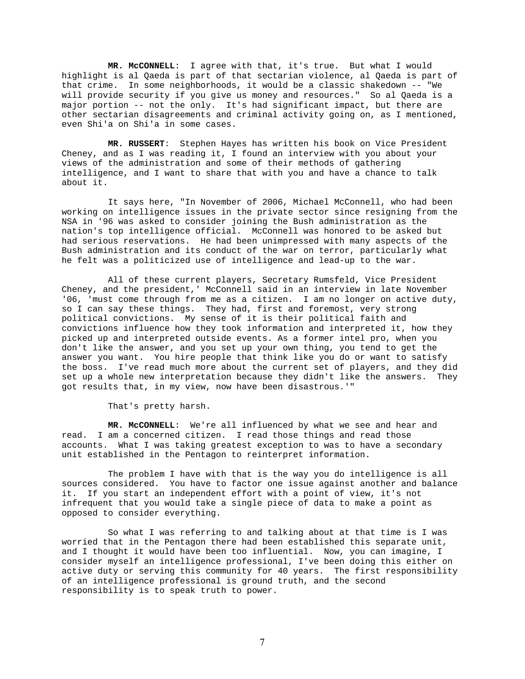**MR. McCONNELL**: I agree with that, it's true. But what I would highlight is al Qaeda is part of that sectarian violence, al Qaeda is part of that crime. In some neighborhoods, it would be a classic shakedown -- "We will provide security if you give us money and resources." So al Qaeda is a major portion -- not the only. It's had significant impact, but there are other sectarian disagreements and criminal activity going on, as I mentioned, even Shi'a on Shi'a in some cases.

 **MR. RUSSERT**: Stephen Hayes has written his book on Vice President Cheney, and as I was reading it, I found an interview with you about your views of the administration and some of their methods of gathering intelligence, and I want to share that with you and have a chance to talk about it.

 It says here, "In November of 2006, Michael McConnell, who had been working on intelligence issues in the private sector since resigning from the NSA in '96 was asked to consider joining the Bush administration as the nation's top intelligence official. McConnell was honored to be asked but had serious reservations. He had been unimpressed with many aspects of the Bush administration and its conduct of the war on terror, particularly what he felt was a politicized use of intelligence and lead-up to the war.

 All of these current players, Secretary Rumsfeld, Vice President Cheney, and the president,' McConnell said in an interview in late November '06, 'must come through from me as a citizen. I am no longer on active duty, so I can say these things. They had, first and foremost, very strong political convictions. My sense of it is their political faith and convictions influence how they took information and interpreted it, how they picked up and interpreted outside events. As a former intel pro, when you don't like the answer, and you set up your own thing, you tend to get the answer you want. You hire people that think like you do or want to satisfy the boss. I've read much more about the current set of players, and they did set up a whole new interpretation because they didn't like the answers. They got results that, in my view, now have been disastrous.'"

That's pretty harsh.

 **MR. McCONNELL**: We're all influenced by what we see and hear and read. I am a concerned citizen. I read those things and read those accounts. What I was taking greatest exception to was to have a secondary unit established in the Pentagon to reinterpret information.

 The problem I have with that is the way you do intelligence is all sources considered. You have to factor one issue against another and balance it. If you start an independent effort with a point of view, it's not infrequent that you would take a single piece of data to make a point as opposed to consider everything.

 So what I was referring to and talking about at that time is I was worried that in the Pentagon there had been established this separate unit, and I thought it would have been too influential. Now, you can imagine, I consider myself an intelligence professional, I've been doing this either on active duty or serving this community for 40 years. The first responsibility of an intelligence professional is ground truth, and the second responsibility is to speak truth to power.

7